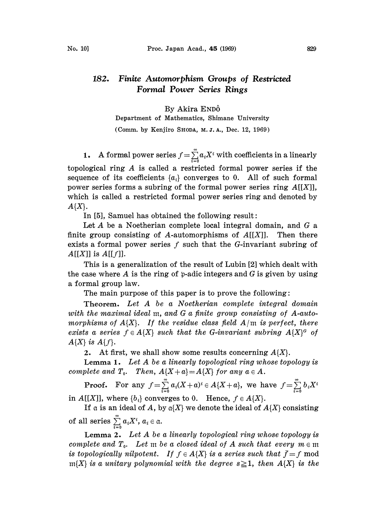## 182. Finite Automorphism Groups of Restricted Formal Power Series Rings

## By Akira ENDÔ

Department of Mathematics, Shimane University

(Comm. by Kenjiro SHODA, M.J.A., Dec. 12, 1969)

**1.** A formal power series  $f = \sum_{i=0}^{\infty} a_i X^i$  with coefficients in a linearly topological ring A is called <sup>a</sup> restricted formal power series if the

sequence of its coefficients  $\{a_i\}$  converges to 0. All of such formal power series forms a subring of the formal power series ring  $A[[X]]$ , which is called a restricted formal power series ring and denoted by  $A{X}.$ 

In  $[5]$ , Samuel has obtained the following result:

Let  $A$  be a Noetherian complete local integral domain, and  $G$  a finite group consisting of A-automorphisms of  $A[[X]]$ . Then there exists a formal power series  $f$  such that the  $G$ -invariant subring of  $A[[X]]$  is  $A[[f]]$ .

This is a generalization of the result of Lubin [2] which dealt with the case where A is the ring of p-adic integers and G is given by using a formal group law.

The main purpose of this paper is to prove the following:

Theorem. Let A be <sup>a</sup> Noetherian complete integral domain with the maximal ideal m, and G a finite group consisting of A-automorphisms of  $A\{X\}$ . If the residue class field  $A/m$  is perfect, there exists a series  $f \in A\{X\}$  such that the G-invariant subring  $A\{X\}^G$  of  $A\{X\}$  is  $A\{f\}$ .

2. At first, we shall show some results concerning  $A\{X\}$ .

Lemma 1. Let  $A$  be a linearly topological ring whose topology is complete and  $T_0$ . Then,  $A\{X+a\} = A\{X\}$  for any  $a \in A$ .

**Proof.** For any  $f = \sum_{i=0}^{\infty} a_i (X + a)^i \in A\{X + a\}$ , we have  $f = \sum_{i=0}^{\infty} b_i X$ 

in  $A[[X]]$ , where  $\{b_i\}$  converges to 0. Hence,  $f \in A\{X\}$ .

If a is an ideal of A, by  $\alpha$ {X} we denote the ideal of  $A$ {X} consisting of all series  $\sum_{i=0}^{\infty} a_i X^i$ ,  $a_i \in \mathfrak{a}$ .

Lemma 2. Let  $A$  be a linearly topological ring whose topology is complete and  $T_0$ . Let m be a closed ideal of A such that every  $m \in \mathfrak{m}$ is topologically nilpotent. If  $f \in A\{X\}$  is a series such that  $\bar{f}=f \mod$  $m{X}$  is a unitary polynomial with the degree  $s \geq 1$ , then  $A{X}$  is the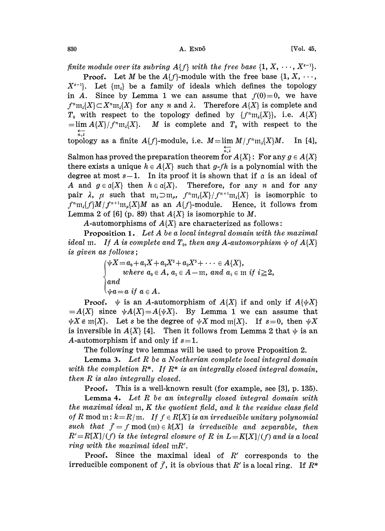finite module over its subring  $A\{f\}$  with the free base  $\{1, X, \dots, X^{s-1}\}.$ 

**Proof.** Let M be the  $A\{f\}$ -module with the free base  $\{1, X, \dots\}$  $X^{s-1}$ . Let  $\{m_i\}$  be a family of ideals which defines the topology in A. Since by Lemma 1 we can assume that  $f(0)=0$ , we have  $f^m m_i$ {X}  $\subset X^n m_i$ {X} for any n and  $\lambda$ . Therefore  $A$ {X} is complete and  $T_0$  with respect to the topology defined by  $\{f^m m_\lambda\{X\}\}\,$ , i.e.  $A\{X\}$  $=\lim A\{X\}/f^n m_{\lambda}[X]$ . M is complete and  $T_0$  with respect to the  $\overleftarrow{n,\lambda}$ 

topology as a finite  $A\{f\}$ -module, i.e.  $M = \lim_{M \to \infty} M/f^{n}m_{\lambda}[X]M$ . In [4],  $\overline{n, \lambda}$ 

Salmon has proved the preparation theorem for  $A\{X\}$ : For any  $g \in A\{X\}$ there exists a unique  $h \in A\{X\}$  such that g-fh is a polynomial with the degree at most  $s-1$ . In its proof it is shown that if  $\alpha$  is an ideal of A and  $g \in \alpha\{X\}$  then  $h \in \alpha\{X\}$ . Therefore, for any n and for any pair  $\lambda$ ,  $\mu$  such that  $m_{\lambda} \supset m_{\mu}$ ,  $f^{n}m_{\lambda}[X]/f^{n+1}m_{\lambda}[X]$  is isomorphic to  $f^m$ m,  $f$ } $M/f^{n+1}$ m,  $\{X\}M$  as an  $A\{f\}$ -module. Hence, it follows from Lemma 2 of [6] (p. 89) that  $A\{X\}$  is isomorphic to M.

A-automorphisms of  $A\{X\}$  are characterized as follows:

Proposition 1. Let A be <sup>a</sup> local integral domain with the maximal ideal m. If A is complete and  $T_0$ , then any A-automorphism  $\psi$  of  $A\{X\}$ is given as follows;

> $\psi X\!=\!a_{\scriptscriptstyle 0}\!+\!a_{\scriptscriptstyle 1}X\!+\!a_{\scriptscriptstyle 2} X^{\scriptscriptstyle 2}\!+\!a_{\scriptscriptstyle 3} X^{\scriptscriptstyle 3}\!+\cdots\in A\{X\},$ where  $a_0 \in A$ ,  $a_1 \in A-\text{m}$ , and  $a_i$ and  $\Delta u = a$  if  $a \in A$ .

**Proof.**  $\psi$  is an A-automorphism of  $A\{X\}$  if and only if  $A\{\psi X\}$  $=A\{X\}$  since  $\psi A\{X\} = A\{\psi X\}$ . By Lemma 1 we can assume that  $\psi X \in \mathfrak{m}{X}$ . Let s be the degree of  $\psi X \bmod \mathfrak{m}{X}$ . If  $s=0$ , then  $\psi X$ is inversible in  $A\{X\}$  [4]. Then it follows from Lemma 2 that  $\psi$  is an A-automorphism if and only if  $s=1$ .

The following two lemmas will be used to prove Proposition 2.

**Lemma 3.** Let  $R$  be a Noetherian complete local integral domain with the completion  $R^*$ . If  $R^*$  is an integrally closed integral domain, then R is also integrally closed.

Proof. This is a well-known result (for example, see [3], p. 135).

Lemma 4. Let R be an integrally closed integral domain with the maximal ideal m, K the quotient field, and <sup>k</sup> the residue class field of R mod m:  $k = R/m$ . If  $f \in R[X]$  is an irreducible unitary polynomial such that  $\bar{f}=f \mod(m) \in k[X]$  is irreducible and separable, then  $R' = R[X]/(f)$  is the integral closure of R in  $L = K[X]/(f)$  and is a local ring with the maximal ideal mR'.

**Proof.** Since the maximal ideal of  $R'$  corresponds to the irreducible component of  $\bar{f}$ , it is obvious that R' is a local ring. If  $R^*$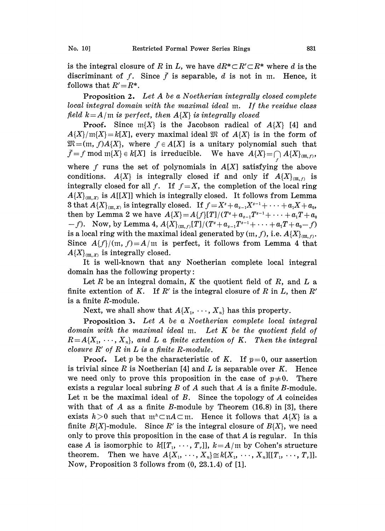is the integral closure of R in L, we have  $dR^*\subset R'\subset R^*$  where d is the discriminant of f. Since  $\bar{f}$  is separable, d is not in m. Hence, it follows that  $R' = R^*$ .

Proposition 2. Let A be <sup>a</sup> Noetherian integrally closed complete local integral domain with the maximal ideal m. If the residue class field  $k = A/m$  is perfect, then  $A\{X\}$  is integrally closed

**Proof.** Since  $m\{X\}$  is the Jacobson radical of  $A\{X\}$  [4] and  $A\{X\}$ /m{X}=k[X], every maximal ideal  $\mathfrak{M}$  of  $A\{X\}$  is in the form of  $\mathfrak{M}=(m, f)A\{X\}$ , where  $f \in A[X]$  is a unitary polynomial such that  $\bar{f}=f \bmod{\mathfrak{m}[X]}\in k[X]$  is irreducible. We have  $A\{X\} = \bigcap_{f} A\{X\}_{(m,f)},$ where  $f$  runs the set of polynomials in  $A[X]$  satisfying the above conditions.  $A\{X\}$  is integrally closed if and only if  $A\{X\}_{m,n}$  is integrally closed for all f. If  $f=X$ , the completion of the local ring  $A\{X\}_{m,x}$  is  $A[[X]]$  which is integrally closed. It follows from Lemma 3 that  $A\{X\}_{(m,X)}$  is integrally closed. If  $f=X^s+a_{s-1}X^{s-1}+\cdots +a_1X+a_0$ , then by Lemma 2 we have  $A\{X\}=A\{f\}[T]/(T^s+a_{s-1}T^{s-1}+\cdots +a_1T+a_0$  $(-f)$ . Now, by Lemma 4,  $A\{X\}_{m,r} [T]/(T^s + a_{s-1}T^{s-1} + \cdots + a_tT + a_0 - f)$ is a local ring with the maximal ideal generated by  $(m, f)$ , i.e.  $A\{X\}_{m, f}$ . Since  $A\{f\}/(\mathfrak{m}, f) = A/\mathfrak{m}$  is perfect, it follows from Lemma 4 that  $A\{X\}_{m,X}$  is integrally closed.

It is well-known that any Noetherian complete local integrai domain has the following property:

Let R be an integral domain, K the quotient field of R, and L a finite extention of K. If  $R'$  is the integral closure of R in L, then  $R'$ is a finite R-module.

Next, we shall show that  $A\{X_1, \dots, X_n\}$  has this property.

Proposition 3. Let A be a Noetherian complete local integral domain with the maximal ideal m. Let K be the quotient field of  $R=A\{X_1, \dots, X_n\}$ , and L a finite extention of K. Then the integral closure  $R'$  of  $R$  in  $L$  is a finite  $R$ -module.

**Proof.** Let p be the characteristic of K. If  $p=0$ , our assertion is trivial since R is Noetherian [4] and L is separable over  $K$ . Hence we need only to prove this proposition in the case of  $p\neq 0$ . There exists a regular local subring  $B$  of  $A$  such that  $A$  is a finite  $B$ -module. Let  $\pi$  be the maximal ideal of  $B$ . Since the topology of  $A$  coincides with that of A as a finite B-module by Theorem  $(16.8)$  in [3], there exists  $h>0$  such that  $m^h\subset nA\subset m$ . Hence it follows that  $A\{X\}$  is a finite  $B\{X\}$ -module. Since R' is the integral closure of  $B\{X\}$ , we need only to prove this proposition in the case of that  $A$  is regular. In this case A is isomorphic to  $k[[T_1, \dots, T_r]], k=A/m$  by Cohen's structure theorem. Then we have  $A\{X_1, \dots, X_n\} \cong k[X_1, \dots, X_n][[T_1, \dots, T_n]].$ Now, Proposition 3 follows from (0, 23.1.4) of [1].